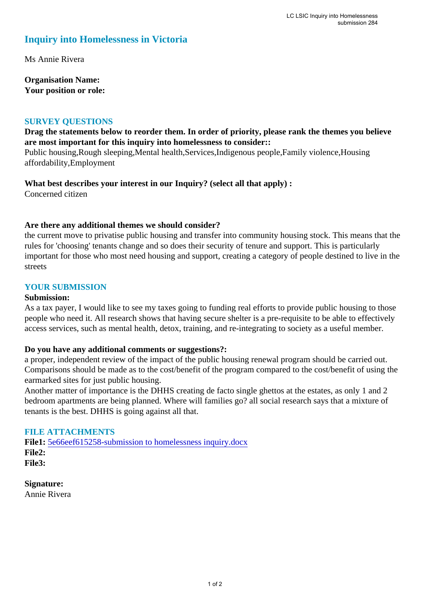# **Inquiry into Homelessness in Victoria**

Ms Annie Rivera

**Organisation Name: Your position or role:** 

#### **SURVEY QUESTIONS**

#### **Drag the statements below to reorder them. In order of priority, please rank the themes you believe are most important for this inquiry into homelessness to consider::**

Public housing,Rough sleeping,Mental health,Services,Indigenous people,Family violence,Housing affordability,Employment

## **What best describes your interest in our Inquiry? (select all that apply) :**

Concerned citizen

### **Are there any additional themes we should consider?**

the current move to privatise public housing and transfer into community housing stock. This means that the rules for 'choosing' tenants change and so does their security of tenure and support. This is particularly important for those who most need housing and support, creating a category of people destined to live in the streets

#### **YOUR SUBMISSION**

#### **Submission:**

As a tax payer, I would like to see my taxes going to funding real efforts to provide public housing to those people who need it. All research shows that having secure shelter is a pre-requisite to be able to effectively access services, such as mental health, detox, training, and re-integrating to society as a useful member.

#### **Do you have any additional comments or suggestions?:**

a proper, independent review of the impact of the public housing renewal program should be carried out. Comparisons should be made as to the cost/benefit of the program compared to the cost/benefit of using the earmarked sites for just public housing.

Another matter of importance is the DHHS creating de facto single ghettos at the estates, as only 1 and 2 bedroom apartments are being planned. Where will families go? all social research says that a mixture of tenants is the best. DHHS is going against all that.

#### **FILE ATTACHMENTS**

File1: 5e66eef615258-submission to homelessness inquiry.docx **File2: File3:** 

**Signature:** Annie Rivera